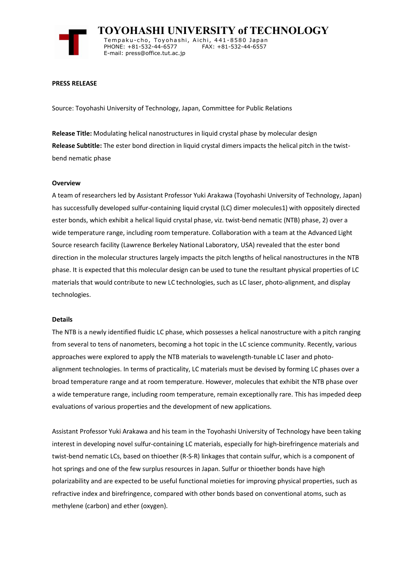

 **TOYOHASHI UNIVERSITY of TECHNOLOGY** Tempaku-cho, Toyohashi, Aichi, 441-8580 Japan<br>PHONE: +81-532-44-6577 FAX: +81-532-44-6557 PHONE: +81-532-44-6577 E-mail: press@office.tut.ac.jp

#### **PRESS RELEASE**

Source: Toyohashi University of Technology, Japan, Committee for Public Relations

**Release Title:** Modulating helical nanostructures in liquid crystal phase by molecular design **Release Subtitle:** The ester bond direction in liquid crystal dimers impacts the helical pitch in the twistbend nematic phase

#### **Overview**

A team of researchers led by Assistant Professor Yuki Arakawa (Toyohashi University of Technology, Japan) has successfully developed sulfur-containing liquid crystal (LC) dimer molecules1) with oppositely directed ester bonds, which exhibit a helical liquid crystal phase, viz. twist-bend nematic (NTB) phase, 2) over a wide temperature range, including room temperature. Collaboration with a team at the Advanced Light Source research facility (Lawrence Berkeley National Laboratory, USA) revealed that the ester bond direction in the molecular structures largely impacts the pitch lengths of helical nanostructures in the NTB phase. It is expected that this molecular design can be used to tune the resultant physical properties of LC materials that would contribute to new LC technologies, such as LC laser, photo-alignment, and display technologies.

#### **Details**

The NTB is a newly identified fluidic LC phase, which possesses a helical nanostructure with a pitch ranging from several to tens of nanometers, becoming a hot topic in the LC science community. Recently, various approaches were explored to apply the NTB materials to wavelength-tunable LC laser and photoalignment technologies. In terms of practicality, LC materials must be devised by forming LC phases over a broad temperature range and at room temperature. However, molecules that exhibit the NTB phase over a wide temperature range, including room temperature, remain exceptionally rare. This has impeded deep evaluations of various properties and the development of new applications.

Assistant Professor Yuki Arakawa and his team in the Toyohashi University of Technology have been taking interest in developing novel sulfur-containing LC materials, especially for high-birefringence materials and twist-bend nematic LCs, based on thioether (R-S-R) linkages that contain sulfur, which is a component of hot springs and one of the few surplus resources in Japan. Sulfur or thioether bonds have high polarizability and are expected to be useful functional moieties for improving physical properties, such as refractive index and birefringence, compared with other bonds based on conventional atoms, such as methylene (carbon) and ether (oxygen).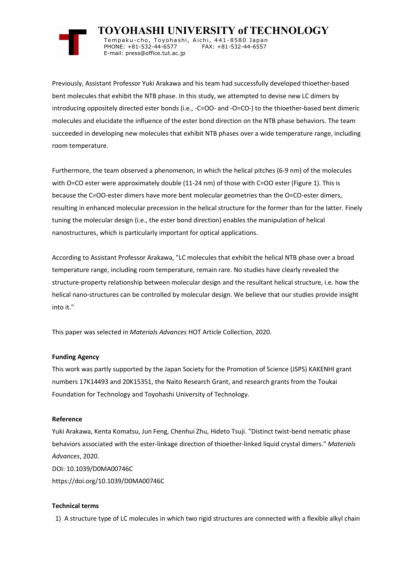

 **TOYOHASHI UNIVERSITY of TECHNOLOGY** Tempaku-cho, Toyohashi, Aichi, 441-8580 Japan<br>PHONE: +81-532-44-6577 FAX: +81-532-44-6557 PHONE: +81-532-44-6577 E-mail: press@office.tut.ac.jp

Previously, Assistant Professor Yuki Arakawa and his team had successfully developed thioether-based bent molecules that exhibit the NTB phase. In this study, we attempted to devise new LC dimers by introducing oppositely directed ester bonds (i.e., -C=OO- and -O=CO-) to the thioether-based bent dimeric molecules and elucidate the influence of the ester bond direction on the NTB phase behaviors. The team succeeded in developing new molecules that exhibit NTB phases over a wide temperature range, including room temperature.

Furthermore, the team observed a phenomenon, in which the helical pitches (6-9 nm) of the molecules with O=CO ester were approximately double (11-24 nm) of those with C=OO ester (Figure 1). This is because the C=OO-ester dimers have more bent molecular geometries than the O=CO-ester dimers, resulting in enhanced molecular precession in the helical structure for the former than for the latter. Finely tuning the molecular design (i.e., the ester bond direction) enables the manipulation of helical nanostructures, which is particularly important for optical applications.

According to Assistant Professor Arakawa, "LC molecules that exhibit the helical NTB phase over a broad temperature range, including room temperature, remain rare. No studies have clearly revealed the structure-property relationship between molecular design and the resultant helical structure, i.e. how the helical nano-structures can be controlled by molecular design. We believe that our studies provide insight into it."

This paper was selected in *Materials Advances* HOT Article Collection, 2020.

## **Funding Agency**

This work was partly supported by the Japan Society for the Promotion of Science (JSPS) KAKENHI grant numbers 17K14493 and 20K15351, the Naito Research Grant, and research grants from the Toukai Foundation for Technology and Toyohashi University of Technology.

## **Reference**

Yuki Arakawa, Kenta Komatsu, Jun Feng, Chenhui Zhu, Hideto Tsuji. "Distinct twist-bend nematic phase behaviors associated with the ester-linkage direction of thioether-linked liquid crystal dimers." *Materials Advances*, 2020. DOI: 10.1039/D0MA00746C https://doi.org/10.1039/D0MA00746C

## **Technical terms**

1) A structure type of LC molecules in which two rigid structures are connected with a flexible alkyl chain